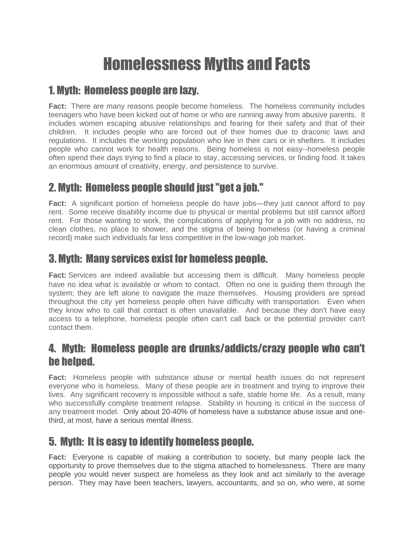# Homelessness Myths and Facts

#### 1. Myth: Homeless people are lazy.

**Fact:** There are many reasons people become homeless. The homeless community includes teenagers who have been kicked out of home or who are running away from abusive parents. It includes women escaping abusive relationships and fearing for their safety and that of their children. It includes people who are forced out of their homes due to draconic laws and regulations. It includes the working population who live in their cars or in shelters. It includes people who cannot work for health reasons. Being homeless is not easy--homeless people often spend their days trying to find a place to stay, accessing services, or finding food. It takes an enormous amount of creativity, energy, and persistence to survive.

## 2. Myth: Homeless people should just "get a job."

**Fact:** A significant portion of homeless people do have jobs—they just cannot afford to pay rent. Some receive disability income due to physical or mental problems but still cannot afford rent. For those wanting to work, the complications of applying for a job with no address, no clean clothes, no place to shower, and the stigma of being homeless (or having a criminal record) make such individuals far less competitive in the low-wage job market.

#### 3. Myth: Many services exist for homeless people.

**Fact:** Services are indeed available but accessing them is difficult. Many homeless people have no idea what is available or whom to contact. Often no one is guiding them through the system; they are left alone to navigate the maze themselves. Housing providers are spread throughout the city yet homeless people often have difficulty with transportation. Even when they know who to call that contact is often unavailable. And because they don't have easy access to a telephone, homeless people often can't call back or the potential provider can't contact them.

#### 4. Myth: Homeless people are drunks/addicts/crazy people who can't be helped.

**Fact:** Homeless people with substance abuse or mental health issues do not represent everyone who is homeless. Many of these people are in treatment and trying to improve their lives. Any significant recovery is impossible without a safe, stable home life. As a result, many who successfully complete treatment relapse. Stability in housing is critical in the success of any treatment model. Only about 20-40% of homeless have a substance abuse issue and onethird, at most, have a serious mental illness.

#### 5. Myth: It is easy to identify homeless people.

**Fact:** Everyone is capable of making a contribution to society, but many people lack the opportunity to prove themselves due to the stigma attached to homelessness. There are many people you would never suspect are homeless as they look and act similarly to the average person. They may have been teachers, lawyers, accountants, and so on, who were, at some